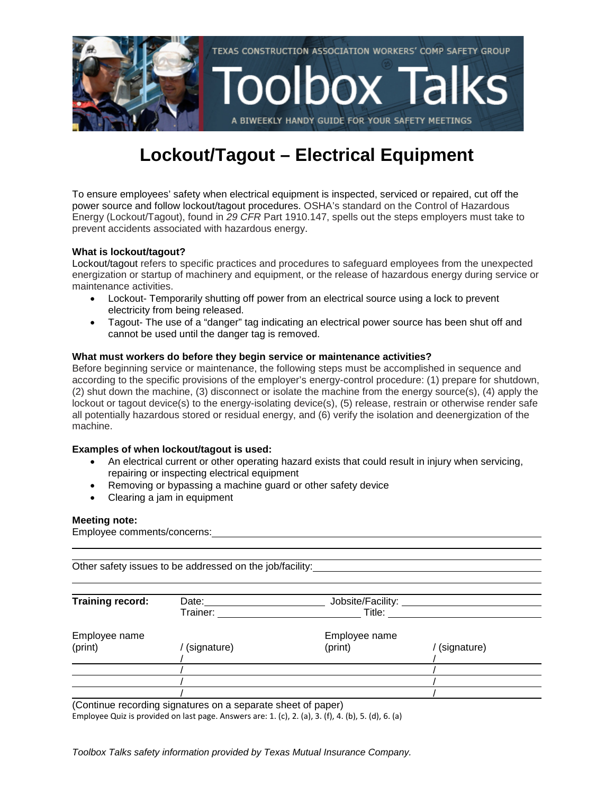

## **Lockout/Tagout – Electrical Equipment**

To ensure employees' safety when electrical equipment is inspected, serviced or repaired, cut off the power source and follow lockout/tagout procedures. OSHA's standard on the Control of Hazardous Energy (Lockout/Tagout), found in *29 CFR* Part 1910.147, spells out the steps employers must take to prevent accidents associated with hazardous energy.

#### **What is lockout/tagout?**

Lockout/tagout refers to specific practices and procedures to safeguard employees from the unexpected energization or startup of machinery and equipment, or the release of hazardous energy during service or maintenance activities.

- Lockout- Temporarily shutting off power from an electrical source using a lock to prevent electricity from being released.
- Tagout- The use of a "danger" tag indicating an electrical power source has been shut off and cannot be used until the danger tag is removed.

#### **What must workers do before they begin service or maintenance activities?**

Before beginning service or maintenance, the following steps must be accomplished in sequence and according to the specific provisions of the employer's energy-control procedure: (1) prepare for shutdown, (2) shut down the machine, (3) disconnect or isolate the machine from the energy source(s), (4) apply the lockout or tagout device(s) to the energy-isolating device(s), (5) release, restrain or otherwise render safe all potentially hazardous stored or residual energy, and (6) verify the isolation and deenergization of the machine.

#### **Examples of when lockout/tagout is used:**

- An electrical current or other operating hazard exists that could result in injury when servicing, repairing or inspecting electrical equipment
- Removing or bypassing a machine guard or other safety device
- Clearing a jam in equipment

#### **Meeting note:**

Employee comments/concerns:

Other safety issues to be addressed on the job/facility:

| Training record:         | Date:<br>Trainer: | Jobsite/Facility:<br>Title: |             |
|--------------------------|-------------------|-----------------------------|-------------|
| Employee name<br>(print) | (signature)       | Employee name<br>(print)    | (signature) |
|                          |                   |                             |             |
|                          |                   |                             |             |
|                          |                   |                             |             |

(Continue recording signatures on a separate sheet of paper)

Employee Quiz is provided on last page. Answers are: 1. (c), 2. (a), 3. (f), 4. (b), 5. (d), 6. (a)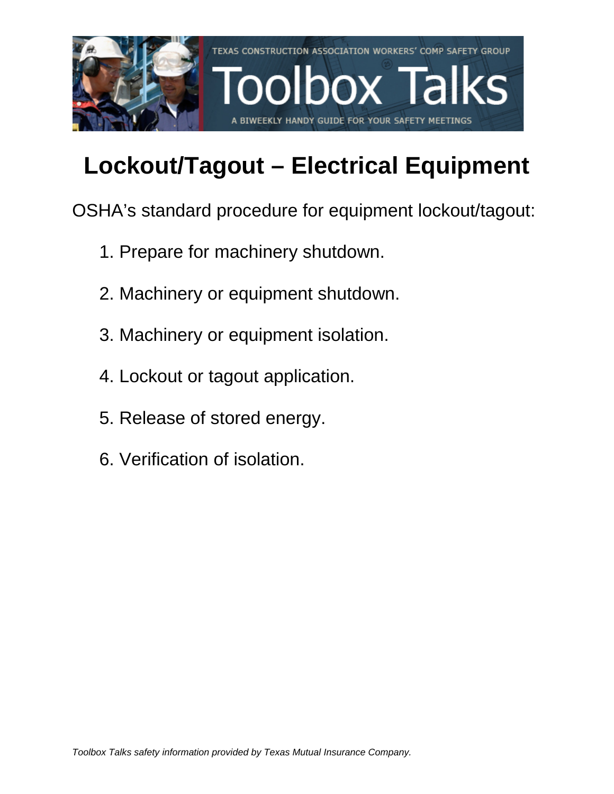

# **Lockout/Tagout – Electrical Equipment**

OSHA's standard procedure for equipment lockout/tagout:

- 1. Prepare for machinery shutdown.
- 2. Machinery or equipment shutdown.
- 3. Machinery or equipment isolation.
- 4. Lockout or tagout application.
- 5. Release of stored energy.
- 6. Verification of isolation.